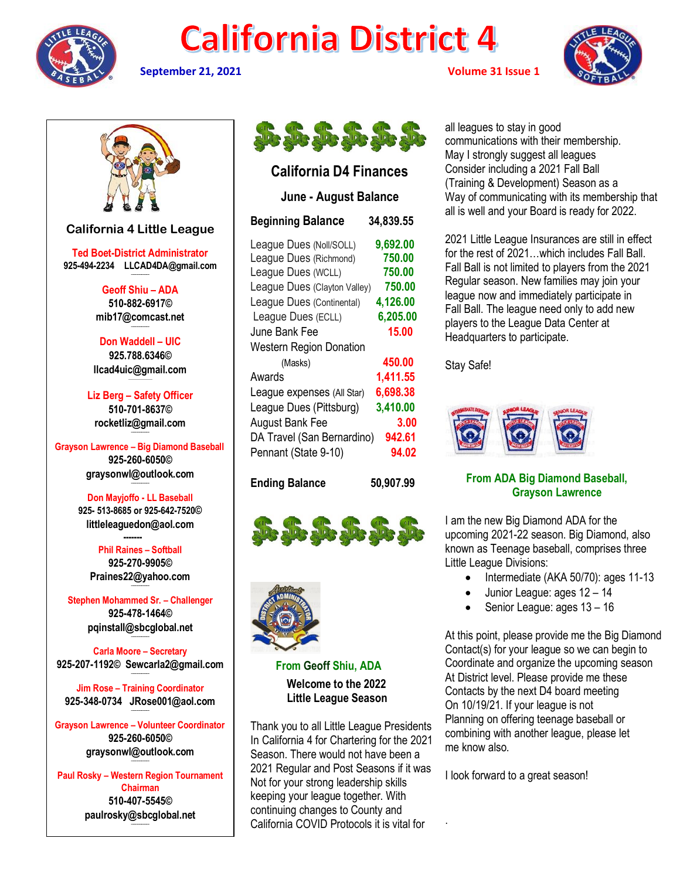

# **California District 4**





### **California D4 Finances**

### **June - August Balance**

| <b>Beginning Balance</b>       | 34,839.55 |
|--------------------------------|-----------|
| League Dues (Noll/SOLL)        | 9,692.00  |
| League Dues (Richmond)         | 750.00    |
| League Dues (WCLL)             | 750.00    |
| League Dues (Clayton Valley)   | 750.00    |
| League Dues (Continental)      | 4,126.00  |
| League Dues (ECLL)             | 6,205.00  |
| June Bank Fee                  | 15.00     |
| <b>Western Region Donation</b> |           |
| (Masks)                        | 450.00    |
| Awards                         | 1,411.55  |
| League expenses (All Star)     | 6,698.38  |
| League Dues (Pittsburg)        | 3,410.00  |
| <b>August Bank Fee</b>         | 3.00      |
| DA Travel (San Bernardino)     | 942.61    |
| Pennant (State 9-10)           | 94.02     |
|                                |           |

**Ending Balance 50,907.99**





**From Geoff Shiu, ADA Welcome to the 2022 Little League Season**

Thank you to all Little League Presidents In California 4 for Chartering for the 2021 Season. There would not have been a 2021 Regular and Post Seasons if it was Not for your strong leadership skills keeping your league together. With continuing changes to County and California COVID Protocols it is vital for

all leagues to stay in good communications with their membership. May I strongly suggest all leagues Consider including a 2021 Fall Ball (Training & Development) Season as a Way of communicating with its membership that all is well and your Board is ready for 2022.

2021 Little League Insurances are still in effect for the rest of 2021…which includes Fall Ball. Fall Ball is not limited to players from the 2021 Regular season. New families may join your league now and immediately participate in Fall Ball. The league need only to add new players to the League Data Center at Headquarters to participate.

Stay Safe!



### **From ADA Big Diamond Baseball, Grayson Lawrence**

I am the new Big Diamond ADA for the upcoming 2021-22 season. Big Diamond, also known as Teenage baseball, comprises three Little League Divisions:

- Intermediate (AKA 50/70): ages 11-13
- Junior League: ages  $12 14$
- Senior League: ages 13 16

At this point, please provide me the Big Diamond Contact(s) for your league so we can begin to Coordinate and organize the upcoming season At District level. Please provide me these Contacts by the next D4 board meeting On 10/19/21. If your league is not Planning on offering teenage baseball or combining with another league, please let me know also.

I look forward to a great season!

.

**California 4 Little League**

**Ted Boet-District Administrator 925-494-2234 LLCAD4DA@gmail.com --------------------**

> **Geoff Shiu – ADA 510-882-6917© [mib17@comcast.net](mailto:mib17@comcast.net) --------------------**

**Don Waddell – UIC 925.788.6346© [llcad4uic@gmail.com](mailto:llcad4uic@gmail.com)**

**Liz Berg – Safety Officer 510-701-8637© [rocketliz@gmail.com](mailto:rocketliz@gmail.com) --------------------**

**Grayson Lawrence – Big Diamond Baseball 925-260-6050© graysonwl@outlook.com --------------------**

> **Don Mayjoffo - LL Baseball 925- 513-8685 or 925-642-7520© littleleaguedon@aol.com -------**

**Phil Raines – Softball 925-270-9905© [Praines22@yahoo.com](mailto:Praines22@yahoo.com)**

**--------------------**

**Stephen Mohammed Sr. – Challenger 925-478-1464© [pqinstall@sbcglobal.net](mailto:pqinstall@sbcglobal.net)**

**Carla Moore – Secretary 925-207-1192© [Sewcarla2@gmail.com](mailto:Sewcarla2@gmail.com) --------------------**

**--------------------**

**Jim Rose – Training Coordinator 925-348-0734 JRose001@aol.com --------------------**

**Grayson Lawrence – Volunteer Coordinator 925-260-6050© graysonwl@outlook.com --------------------**

**Paul Rosky – Western Region Tournament Chairman 510-407-5545© [paulrosky@sbcglobal.net](mailto:paulrosky@sbcglobal.net)**

**--------------------**